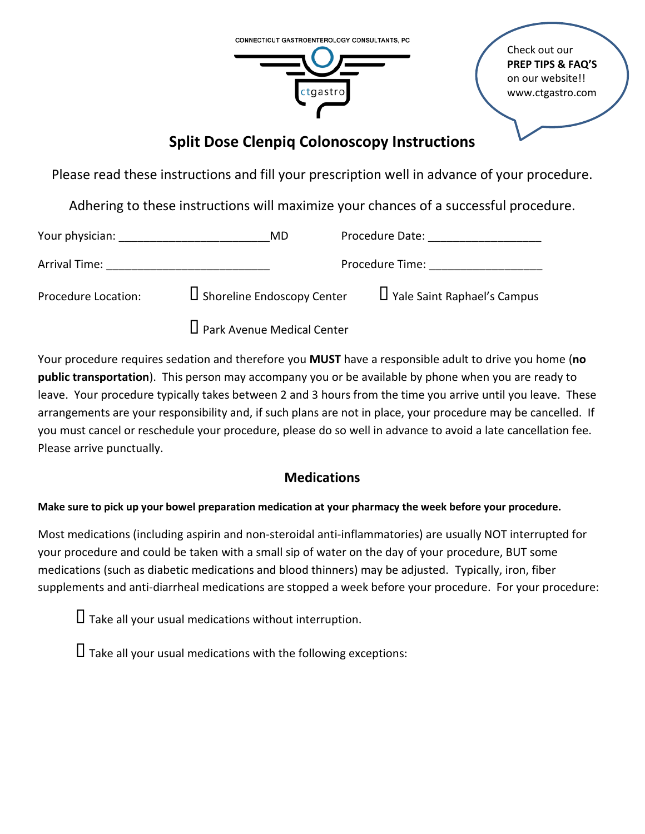

Check out our **PREP TIPS & FAQ'S** on our website!! www.ctgastro.com

# **Split Dose Clenpiq Colonoscopy Instructions**

Please read these instructions and fill your prescription well in advance of your procedure.

Adhering to these instructions will maximize your chances of a successful procedure.

| Your physician:     | MD                                                                                                             | Procedure Date:                    |
|---------------------|----------------------------------------------------------------------------------------------------------------|------------------------------------|
| Arrival Time:       | Procedure Time: The contract of the contract of the contract of the contract of the contract of the contract o |                                    |
| Procedure Location: | $\Box$ Shoreline Endoscopy Center                                                                              | $\Box$ Yale Saint Raphael's Campus |
|                     | $\Box$ Park Avenue Medical Center                                                                              |                                    |

Your procedure requires sedation and therefore you **MUST** have a responsible adult to drive you home (**no public transportation**). This person may accompany you or be available by phone when you are ready to leave. Your procedure typically takes between 2 and 3 hours from the time you arrive until you leave. These arrangements are your responsibility and, if such plans are not in place, your procedure may be cancelled. If you must cancel or reschedule your procedure, please do so well in advance to avoid a late cancellation fee. Please arrive punctually.

# **Medications**

### **Make sure to pick up your bowel preparation medication at your pharmacy the week before your procedure.**

Most medications (including aspirin and non-steroidal anti-inflammatories) are usually NOT interrupted for your procedure and could be taken with a small sip of water on the day of your procedure, BUT some medications (such as diabetic medications and blood thinners) may be adjusted. Typically, iron, fiber supplements and anti-diarrheal medications are stopped a week before your procedure. For your procedure:

 $\Box$  Take all your usual medications without interruption.

 $\Pi$  Take all your usual medications with the following exceptions: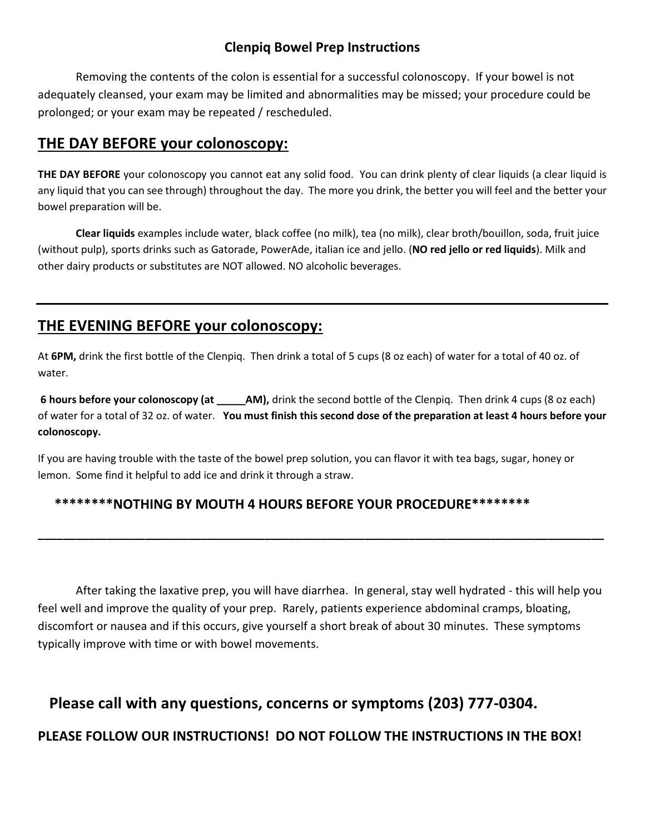### **Clenpiq Bowel Prep Instructions**

Removing the contents of the colon is essential for a successful colonoscopy. If your bowel is not adequately cleansed, your exam may be limited and abnormalities may be missed; your procedure could be prolonged; or your exam may be repeated / rescheduled.

### **THE DAY BEFORE your colonoscopy:**

**THE DAY BEFORE** your colonoscopy you cannot eat any solid food. You can drink plenty of clear liquids (a clear liquid is any liquid that you can see through) throughout the day. The more you drink, the better you will feel and the better your bowel preparation will be.

**Clear liquids** examples include water, black coffee (no milk), tea (no milk), clear broth/bouillon, soda, fruit juice (without pulp), sports drinks such as Gatorade, PowerAde, italian ice and jello. (**NO red jello or red liquids**). Milk and other dairy products or substitutes are NOT allowed. NO alcoholic beverages.

# **THE EVENING BEFORE your colonoscopy:**

At **6PM,** drink the first bottle of the Clenpiq. Then drink a total of 5 cups (8 oz each) of water for a total of 40 oz. of water.

**6 hours before your colonoscopy (at \_\_\_\_\_AM),** drink the second bottle of the Clenpiq.Then drink 4 cups (8 oz each) of water for a total of 32 oz. of water. **You must finish this second dose of the preparation at least 4 hours before your colonoscopy.** 

If you are having trouble with the taste of the bowel prep solution, you can flavor it with tea bags, sugar, honey or lemon. Some find it helpful to add ice and drink it through a straw.

### **\*\*\*\*\*\*\*\*NOTHING BY MOUTH 4 HOURS BEFORE YOUR PROCEDURE\*\*\*\*\*\*\*\***

After taking the laxative prep, you will have diarrhea. In general, stay well hydrated - this will help you feel well and improve the quality of your prep. Rarely, patients experience abdominal cramps, bloating, discomfort or nausea and if this occurs, give yourself a short break of about 30 minutes. These symptoms typically improve with time or with bowel movements.

**\_\_\_\_\_\_\_\_\_\_\_\_\_\_\_\_\_\_\_\_\_\_\_\_\_\_\_\_\_\_\_\_\_\_\_\_\_\_\_\_\_\_\_\_\_\_\_\_\_\_\_\_\_\_\_\_\_\_\_\_\_\_\_\_\_\_\_\_\_\_\_\_\_\_\_\_\_\_\_\_\_\_\_\_\_\_\_\_\_\_**

# **Please call with any questions, concerns or symptoms (203) 777-0304.**

### **PLEASE FOLLOW OUR INSTRUCTIONS! DO NOT FOLLOW THE INSTRUCTIONS IN THE BOX!**